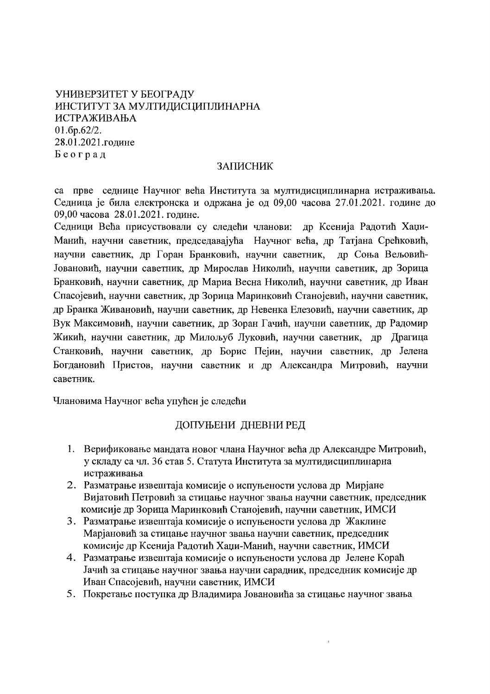# УНИВЕРЗИТЕТ У БЕОГРАДУ ИНСТИТУТ ЗА МУЛТИДИСЦИПЛИНАРНА ИСТРАЖИВАЊА  $01.6p.62/2.$ 28.01.2021.године Београд

## ЗАПИСНИК

са прве седнице Научног већа Института за мултидисциплинарна истраживања. Седница је била електронска и одржана је од 09,00 часова 27.01.2021. године до 09,00 часова 28.01.2021. године.

Седници Већа присуствовали су следећи чланови: др Ксенија Радотић Хаџи-Манић, научни саветник, председавајућа Научног већа, др Татјана Срећковић, научни саветник, др Горан Бранковић, научни саветник, др Соња Вељовић-Јовановић, научни саветник, др Мирослав Николић, научни саветник, др Зорица Бранковић, научни саветник, др Мариа Весна Николић, научни саветник, др Иван Спасојевић, научни саветник, др Зорица Маринковић Станојевић, научни саветник, др Бранка Живановић, научни саветник, др Невенка Елезовић, научни саветник, др Вук Максимовић, научни саветник, др Зоран Гачић, научни саветник, др Радомир Жикић, научни саветник, др Милољуб Луковић, научни саветник, др Драгица Станковић, научни саветник, др Борис Пејин, научни саветник, др Јелена Богдановић Пристов, научни саветник и др Александра Митровић, научни саветник.

Члановима Научног већа упућен је следећи

# ДОПУЊЕНИ ДНЕВНИ РЕД

- 1. Верификовање мандата новог члана Научног већа др Александре Митровић, у складу са чл. 36 став 5. Статута Института за мултидисциплинарна истраживања
- 2. Разматрање извештаја комисије о испуњености услова др Мирјане Вијатовић Петровић за стицање научног звања научни саветник, председник комисије др Зорица Маринковић Станојевић, научни саветник, ИМСИ
- 3. Разматрање извештаја комисије о испуњености услова др Жаклине Марјановић за стицање научног звања научни саветник, председник комисије др Ксенија Радотић Хаџи-Манић, научни саветник, ИМСИ
- 4. Разматрање извештаја комисије о испуњености услова др Јелене Кораћ Јачић за стицање научног звања научни сарадник, председник комисије др Иван Спасојевић, научни саветник, ИМСИ
- 5. Покретање поступка др Владимира Јовановића за стицање научног звања

 $\hat{\mathbf{y}}$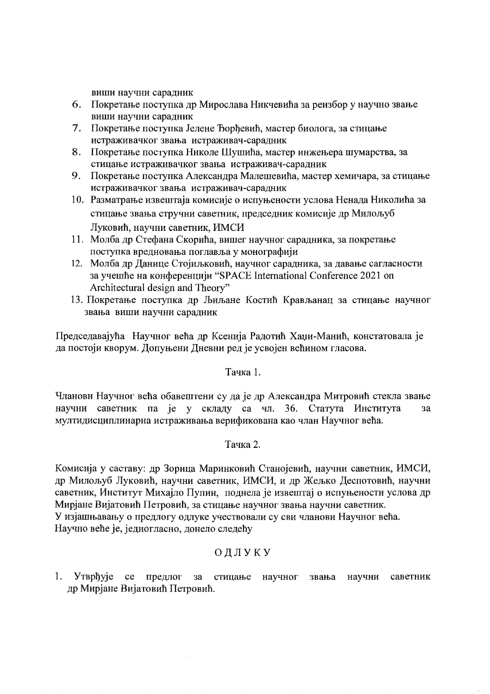виши научни сарадник

- 6. Покретање поступка др Мирослава Никчевића за реизбор у научно звање виши научни сарадник
- 7. Покретање поступка Јелене Ђорђевић, мастер биолога, за стицање истраживачког звања истраживач-сарадник
- 8. Покретање поступка Николе Шушића, мастер инжењера шумарства, за стицање истраживачког звања истраживач-сарадник
- Покретање поступка Александра Малешевића, мастер хемичара, за стицање 9. истраживачког звања истраживач-сарадник
- 10. Разматрање извештаја комисије о испуњености услова Ненада Николића за стицање звања стручни саветник, председник комисије др Милољуб Луковић, научни саветник, ИМСИ
- 11. Молба др Стефана Скорића, вишег научног сарадника, за покретање поступка вредновања поглавља у монографији
- 12. Молба др Данице Стојиљковић, научног сарадника, за давање сагласности за учешће на конференцији "SPACE International Conference 2021 on Architectural design and Theory"
- 13. Покретање поступка др Љиљане Костић Крављанац за стицање научног звања виши научни сарадник

Председавајућа Научног већа др Ксенија Радотић Хаџи-Манић, констатовала је да постоји кворум. Допуњени Дневни ред је усвојен већином гласова.

## Тачка 1.

Чланови Научног већа обавештени су да је др Александра Митровић стекла звање научни саветник па је у складу са чл. 36. Статута Института за мултидисциплинарна истраживања верификована као члан Научног већа.

## Тачка 2.

Комисија у саставу: др Зорица Маринковић Станојевић, научни саветник, ИМСИ, др Милољуб Луковић, научни саветник, ИМСИ, и др Жељко Деспотовић, научни саветник, Институт Михајло Пупин, поднела је извештај о испуњености услова др Мирјане Вијатовић Петровић, за стицање научног звања научни саветник. У изјашњавању о предлогу одлуке учествовали су сви чланови Научног већа. Научно веће је, једногласно, донело следећу

# ОДЛУКУ

1. Утврђује  $ce$ предлог за стицање научног звања научни саветник др Мирјане Вијатовић Петровић.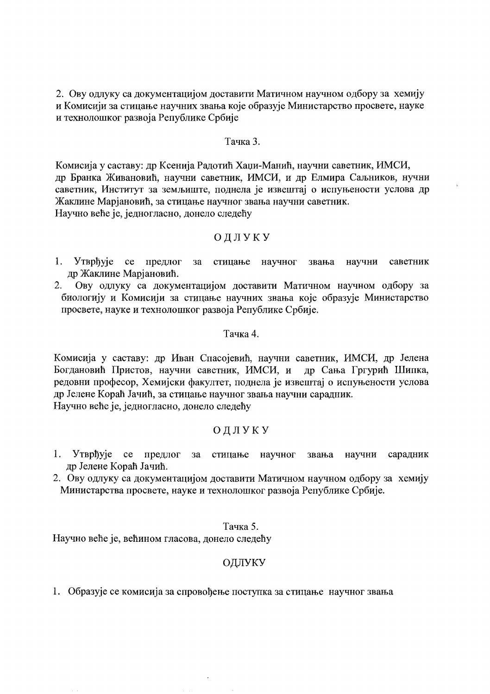2. Ову одлуку са документацијом доставити Матичном научном одбору за хемију и Комисији за стицање научних звања које образује Министарство просвете, науке и технолошког развоја Републике Србије

#### Тачка 3.

Комисија у саставу: др Ксенија Радотић Хаџи-Манић, научни саветник, ИМСИ, др Бранка Живановић, научни саветник, ИМСИ, и др Елмира Саљников, нучни саветник, Институт за земљиште, поднела је извештај о испуњености услова др Жаклине Марјановић, за стицање научног звања научни саветник. Научно веће је, једногласно, донело следећу

### ОДЛУКУ

- 1. Утврђује се предлог за стицање научног звања научни саветник др Жаклине Марјановић.
- Ову одлуку са документацијом доставити Матичном научном одбору за 2. биологију и Комисији за стицање научних звања које образује Министарство просвете, науке и технолошког развоја Републике Србије.

#### Тачка 4.

Комисија у саставу: др Иван Спасојевић, научни саветник, ИМСИ, др Јелена Богдановић Пристов, научни саветник, ИМСИ, и др Сања Гргурић Шипка, редовни професор, Хемијски факултет, поднела је извештај о испуњености услова др Јелене Кораћ Јачић, за стицање научног звања научни сарадник. Научно веће је, једногласно, донело следећу

## ОДЛУКУ

- 1. Утврђује се предлог  $3a$ стицање научног звања научни сарадник др Јелене Кораћ Јачић.
- 2. Ову одлуку са документацијом доставити Матичном научном одбору за хемију Министарства просвете, науке и технолошког развоја Републике Србије.

#### Тачка 5.

Научно веће је, већином гласова, донело следећу

### ОДЛУКУ

1. Образује се комисија за спровођење поступка за стицање научног звања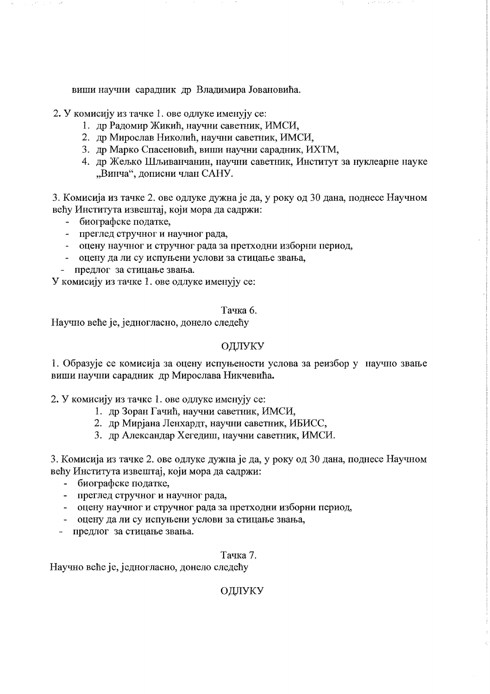виши научни сарадник др Владимира Јовановића.

2. У комисију из тачке 1. ове одлуке именују се:

- 1. др Радомир Жикић, научни саветник, ИМСИ,
- 2. др Мирослав Николић, научни саветник, ИМСИ,
- 3. др Марко Спасеновић, виши научни сарадник, ИХТМ,
- 4. др Жељко Шљиванчанин, научни саветник, Институт за нуклеарне науке "Винча", дописни члан САНУ.

3. Комисија из тачке 2. ове одлуке дужна је да, у року од 30 дана, поднесе Научном већу Института извештај, који мора да садржи:

- биографске податке,
- преглед стручног и научног рада,
- оцену научног и стручног рада за претходни изборни период,
- оцену да ли су испуњени услови за стицање звања,
- предлог за стицање звања.

У комисију из тачке 1. ове одлуке именују се:

### Тачка 6.

Научно веће је, једногласно, донело следећу

## ОДЛУКУ

1. Образује се комисија за оцену испуњености услова за реизбор у научно звање виши научни сарадник др Мирослава Никчевића.

2. У комисију из тачке 1. ове одлуке именују се:

- 1. др Зоран Гачић, научни саветник, ИМСИ,
- 2. др Мирјана Ленхардт, научни саветник, ИБИСС,
- 3. др Александар Хегедиш, научни саветник, ИМСИ.

3. Комисија из тачке 2. ове одлуке дужна је да, у року од 30 дана, поднесе Научном већу Института извештај, који мора да садржи:

- биографске податке.
- преглед стручног и научног рада,
- оцену научног и стручног рада за претходни изборни период,
- оцену да ли су испуњени услови за стицање звања,
- предлог за стицање звања.

### Тачка 7.

Научно веће је, једногласно, донело следећу

# ОДЛУКУ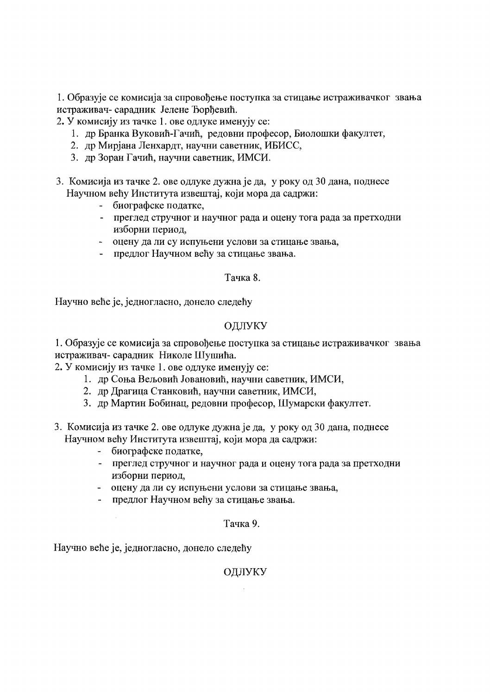1. Образује се комисија за спровођење поступка за стицање истраживачког звања истраживач-сарадник Јелене Ђорђевић.

2. У комисију из тачке 1. ове одлуке именују се:

- 1. др Бранка Вуковић-Гачић, редовни професор, Биолошки факултет,
- 2. др Мирјана Ленхардт, научни саветник, ИБИСС,
- 3. др Зоран Гачић, научни саветник, ИМСИ.
- 3. Комисија из тачке 2. ове одлуке дужна је да, у року од 30 дана, поднесе Научном већу Института извештај, који мора да садржи:
	- биографске податке,
	- преглед стручног и научног рада и оцену тога рада за претходни изборни период,
	- оцену да ли су испуњени услови за стицање звања,
	- предлог Научном већу за стицање звања.

### Тачка 8.

Научно веће је, једногласно, донело следећу

## ОДЛУКУ

1. Образује се комисија за спровођење поступка за стицање истраживачког звања истраживач- сарадник Николе Шушића.

2. У комисију из тачке 1. ове одлуке именују се:

- 1. др Соња Вељовић Јовановић, научни саветник, ИМСИ,
- 2. др Драгица Станковић, научни саветник, ИМСИ,
- 3. др Мартин Бобинац, редовни професор, Шумарски факултет.
- 3. Комисија из тачке 2. ове одлуке дужна је да, у року од 30 дана, поднесе Научном већу Института извештај, који мора да садржи:
	- биографске податке,
	- преглед стручног и научног рада и оцену тога рада за претходни изборни период,
	- оцену да ли су испуњени услови за стицање звања,
	- предлог Научном већу за стицање звања.

### Тачка 9.

Научно веће је, једногласно, донело следећу

 $\mathcal{L}$ 

## ОДЛУКУ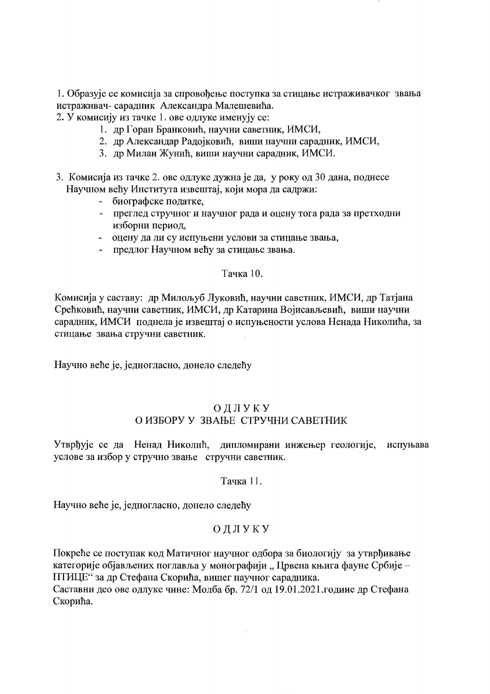1. Образује се комисија за спровођење поступка за стицање истраживачког звања истраживач- сарадник Александра Малешевића.

2. У комисију из тачке 1. ове одлуке именују се:

- 1. др Горан Бранковић, научни саветник, ИМСИ,
- 2. др Александар Радојковић, виши научни сарадник, ИМСИ,
- 3. др Милан Жунић, виши научни сарадник, ИМСИ.
- 3. Комисија из тачке 2. ове одлуке дужна је да, у року од 30 дана, поднесе Научном већу Института извештај, који мора да садржи:
	- биографске податке,
	- преглед стручног и научног рада и оцену тога рада за претходни изборни период,
	- оцену да ли су испуњени услови за стицање звања,
	- предлог Научном већу за стицање звања.

### Тачка 10.

Комисија у саставу: др Милољуб Луковић, научни саветник, ИМСИ, др Татјана Срећковић, научни саветник, ИМСИ, др Катарина Војисављевић, виши научни сарадник, ИМСИ поднела је извештај о испуњености услова Ненада Николића, за стицање звања стручни саветник.

Научно веће је, једногласно, донело следећу

## ОДЛУКУ О ИЗБОРУ У ЗВАЊЕ СТРУЧНИ САВЕТНИК

Утврђује се да Ненад Николић, дипломирани инжењер геологије, испуњава услове за избор у стручно звање стручни саветник.

Тачка 11.

Научно веће је, једногласно, донело следећу

# ОДЛУКУ

Покреће се поступак код Матичног научног одбора за биологију за утврђивање категорије објављених поглавља у монографији "Црвена књига фауне Србије -ПТИЦЕ" за др Стефана Скорића, вишег научног сарадника. Саставни део ове одлуке чине: Молба бр. 72/1 од 19.01.2021.године др Стефана Скорића.

 $\bar{z}$